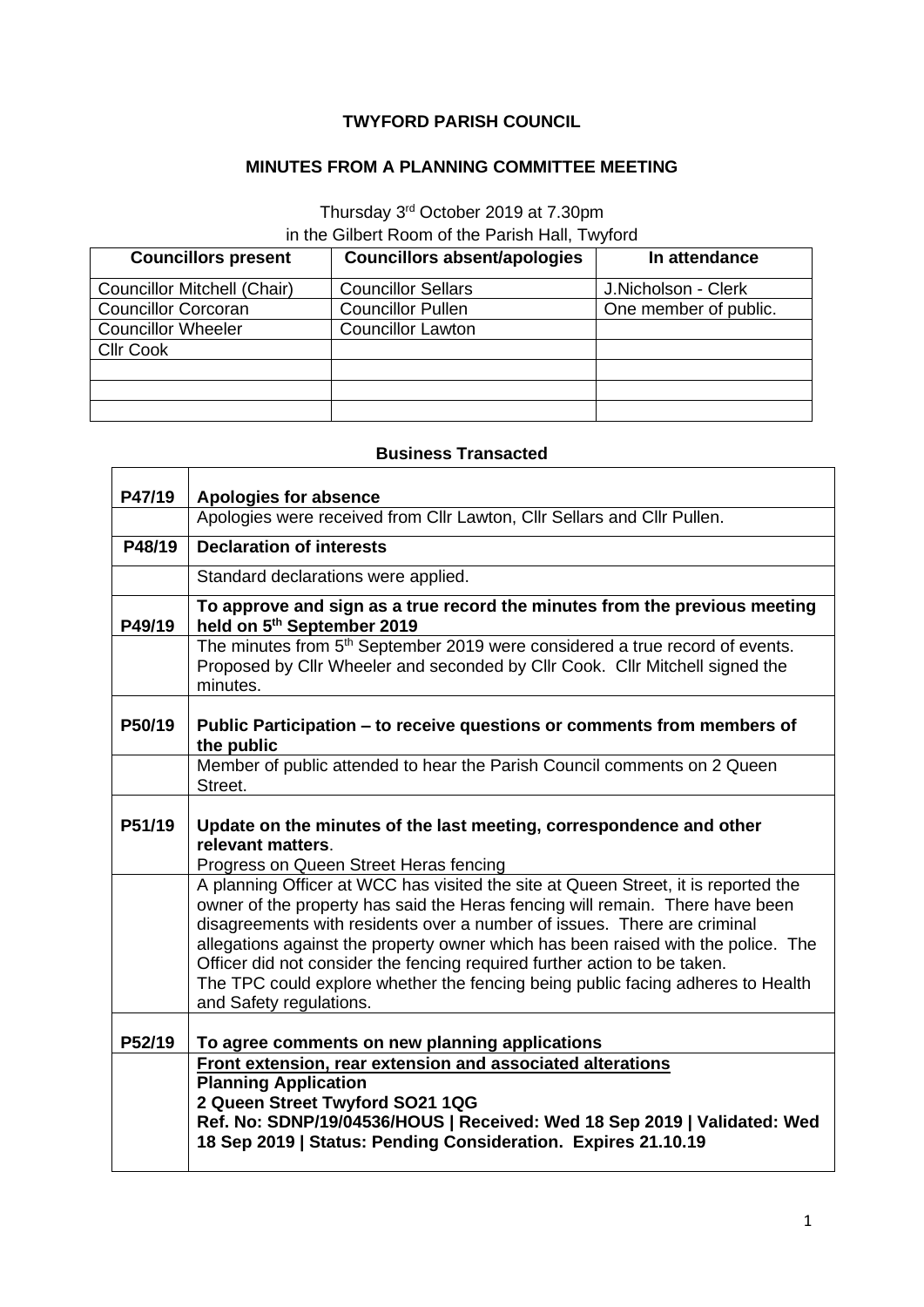## **TWYFORD PARISH COUNCIL**

## **MINUTES FROM A PLANNING COMMITTEE MEETING**

Thursday 3<sup>rd</sup> October 2019 at 7.30pm

in the Gilbert Room of the Parish Hall, Twyford

| <b>Councillors present</b>         | <b>Councillors absent/apologies</b> | In attendance         |
|------------------------------------|-------------------------------------|-----------------------|
| <b>Councillor Mitchell (Chair)</b> | <b>Councillor Sellars</b>           | J.Nicholson - Clerk   |
| <b>Councillor Corcoran</b>         | <b>Councillor Pullen</b>            | One member of public. |
| <b>Councillor Wheeler</b>          | <b>Councillor Lawton</b>            |                       |
| <b>CIIr Cook</b>                   |                                     |                       |
|                                    |                                     |                       |
|                                    |                                     |                       |
|                                    |                                     |                       |

## **Business Transacted**

 $\overline{\phantom{a}}$ 

 $\mathbf{r}$ 

| P47/19 | <b>Apologies for absence</b>                                                                                                                                                                                                                                                                                                                                                                                                                                                                                                    |
|--------|---------------------------------------------------------------------------------------------------------------------------------------------------------------------------------------------------------------------------------------------------------------------------------------------------------------------------------------------------------------------------------------------------------------------------------------------------------------------------------------------------------------------------------|
|        | Apologies were received from Cllr Lawton, Cllr Sellars and Cllr Pullen.                                                                                                                                                                                                                                                                                                                                                                                                                                                         |
| P48/19 | <b>Declaration of interests</b>                                                                                                                                                                                                                                                                                                                                                                                                                                                                                                 |
|        | Standard declarations were applied.                                                                                                                                                                                                                                                                                                                                                                                                                                                                                             |
| P49/19 | To approve and sign as a true record the minutes from the previous meeting<br>held on 5th September 2019                                                                                                                                                                                                                                                                                                                                                                                                                        |
|        | The minutes from 5 <sup>th</sup> September 2019 were considered a true record of events.<br>Proposed by Cllr Wheeler and seconded by Cllr Cook. Cllr Mitchell signed the<br>minutes.                                                                                                                                                                                                                                                                                                                                            |
| P50/19 | Public Participation – to receive questions or comments from members of<br>the public                                                                                                                                                                                                                                                                                                                                                                                                                                           |
|        | Member of public attended to hear the Parish Council comments on 2 Queen<br>Street.                                                                                                                                                                                                                                                                                                                                                                                                                                             |
| P51/19 | Update on the minutes of the last meeting, correspondence and other<br>relevant matters.<br>Progress on Queen Street Heras fencing                                                                                                                                                                                                                                                                                                                                                                                              |
|        | A planning Officer at WCC has visited the site at Queen Street, it is reported the<br>owner of the property has said the Heras fencing will remain. There have been<br>disagreements with residents over a number of issues. There are criminal<br>allegations against the property owner which has been raised with the police. The<br>Officer did not consider the fencing required further action to be taken.<br>The TPC could explore whether the fencing being public facing adheres to Health<br>and Safety regulations. |
| P52/19 | To agree comments on new planning applications                                                                                                                                                                                                                                                                                                                                                                                                                                                                                  |
|        | Front extension, rear extension and associated alterations<br><b>Planning Application</b><br>2 Queen Street Twyford SO21 1QG<br>Ref. No: SDNP/19/04536/HOUS   Received: Wed 18 Sep 2019   Validated: Wed<br>18 Sep 2019   Status: Pending Consideration. Expires 21.10.19                                                                                                                                                                                                                                                       |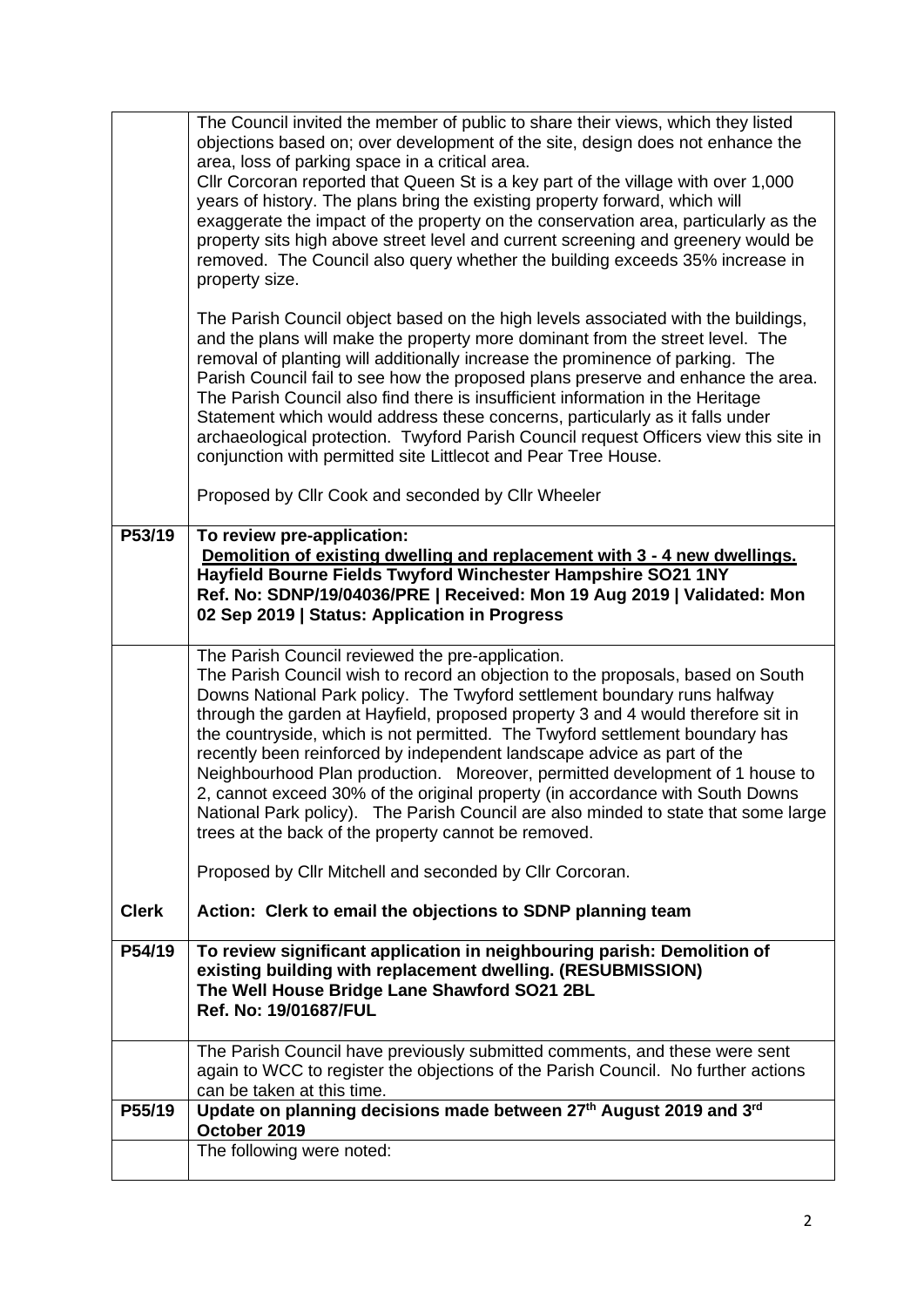|              | The Council invited the member of public to share their views, which they listed<br>objections based on; over development of the site, design does not enhance the<br>area, loss of parking space in a critical area.<br>Cllr Corcoran reported that Queen St is a key part of the village with over 1,000<br>years of history. The plans bring the existing property forward, which will<br>exaggerate the impact of the property on the conservation area, particularly as the<br>property sits high above street level and current screening and greenery would be<br>removed. The Council also query whether the building exceeds 35% increase in<br>property size.<br>The Parish Council object based on the high levels associated with the buildings,<br>and the plans will make the property more dominant from the street level. The<br>removal of planting will additionally increase the prominence of parking. The<br>Parish Council fail to see how the proposed plans preserve and enhance the area.<br>The Parish Council also find there is insufficient information in the Heritage<br>Statement which would address these concerns, particularly as it falls under<br>archaeological protection. Twyford Parish Council request Officers view this site in<br>conjunction with permitted site Littlecot and Pear Tree House. |
|--------------|------------------------------------------------------------------------------------------------------------------------------------------------------------------------------------------------------------------------------------------------------------------------------------------------------------------------------------------------------------------------------------------------------------------------------------------------------------------------------------------------------------------------------------------------------------------------------------------------------------------------------------------------------------------------------------------------------------------------------------------------------------------------------------------------------------------------------------------------------------------------------------------------------------------------------------------------------------------------------------------------------------------------------------------------------------------------------------------------------------------------------------------------------------------------------------------------------------------------------------------------------------------------------------------------------------------------------------------------|
|              | Proposed by Cllr Cook and seconded by Cllr Wheeler                                                                                                                                                                                                                                                                                                                                                                                                                                                                                                                                                                                                                                                                                                                                                                                                                                                                                                                                                                                                                                                                                                                                                                                                                                                                                             |
| P53/19       | To review pre-application:<br>Demolition of existing dwelling and replacement with 3 - 4 new dwellings.<br>Hayfield Bourne Fields Twyford Winchester Hampshire SO21 1NY<br>Ref. No: SDNP/19/04036/PRE   Received: Mon 19 Aug 2019   Validated: Mon<br>02 Sep 2019   Status: Application in Progress                                                                                                                                                                                                                                                                                                                                                                                                                                                                                                                                                                                                                                                                                                                                                                                                                                                                                                                                                                                                                                            |
|              | The Parish Council reviewed the pre-application.<br>The Parish Council wish to record an objection to the proposals, based on South<br>Downs National Park policy. The Twyford settlement boundary runs halfway<br>through the garden at Hayfield, proposed property 3 and 4 would therefore sit in<br>the countryside, which is not permitted. The Twyford settlement boundary has<br>recently been reinforced by independent landscape advice as part of the<br>Neighbourhood Plan production. Moreover, permitted development of 1 house to<br>2, cannot exceed 30% of the original property (in accordance with South Downs<br>National Park policy). The Parish Council are also minded to state that some large<br>trees at the back of the property cannot be removed.                                                                                                                                                                                                                                                                                                                                                                                                                                                                                                                                                                  |
|              | Proposed by Cllr Mitchell and seconded by Cllr Corcoran.                                                                                                                                                                                                                                                                                                                                                                                                                                                                                                                                                                                                                                                                                                                                                                                                                                                                                                                                                                                                                                                                                                                                                                                                                                                                                       |
| <b>Clerk</b> | Action: Clerk to email the objections to SDNP planning team                                                                                                                                                                                                                                                                                                                                                                                                                                                                                                                                                                                                                                                                                                                                                                                                                                                                                                                                                                                                                                                                                                                                                                                                                                                                                    |
| P54/19       | To review significant application in neighbouring parish: Demolition of<br>existing building with replacement dwelling. (RESUBMISSION)<br>The Well House Bridge Lane Shawford SO21 2BL<br>Ref. No: 19/01687/FUL                                                                                                                                                                                                                                                                                                                                                                                                                                                                                                                                                                                                                                                                                                                                                                                                                                                                                                                                                                                                                                                                                                                                |
|              | The Parish Council have previously submitted comments, and these were sent<br>again to WCC to register the objections of the Parish Council. No further actions<br>can be taken at this time.                                                                                                                                                                                                                                                                                                                                                                                                                                                                                                                                                                                                                                                                                                                                                                                                                                                                                                                                                                                                                                                                                                                                                  |
| P55/19       | Update on planning decisions made between 27th August 2019 and 3rd<br>October 2019                                                                                                                                                                                                                                                                                                                                                                                                                                                                                                                                                                                                                                                                                                                                                                                                                                                                                                                                                                                                                                                                                                                                                                                                                                                             |
|              | The following were noted:                                                                                                                                                                                                                                                                                                                                                                                                                                                                                                                                                                                                                                                                                                                                                                                                                                                                                                                                                                                                                                                                                                                                                                                                                                                                                                                      |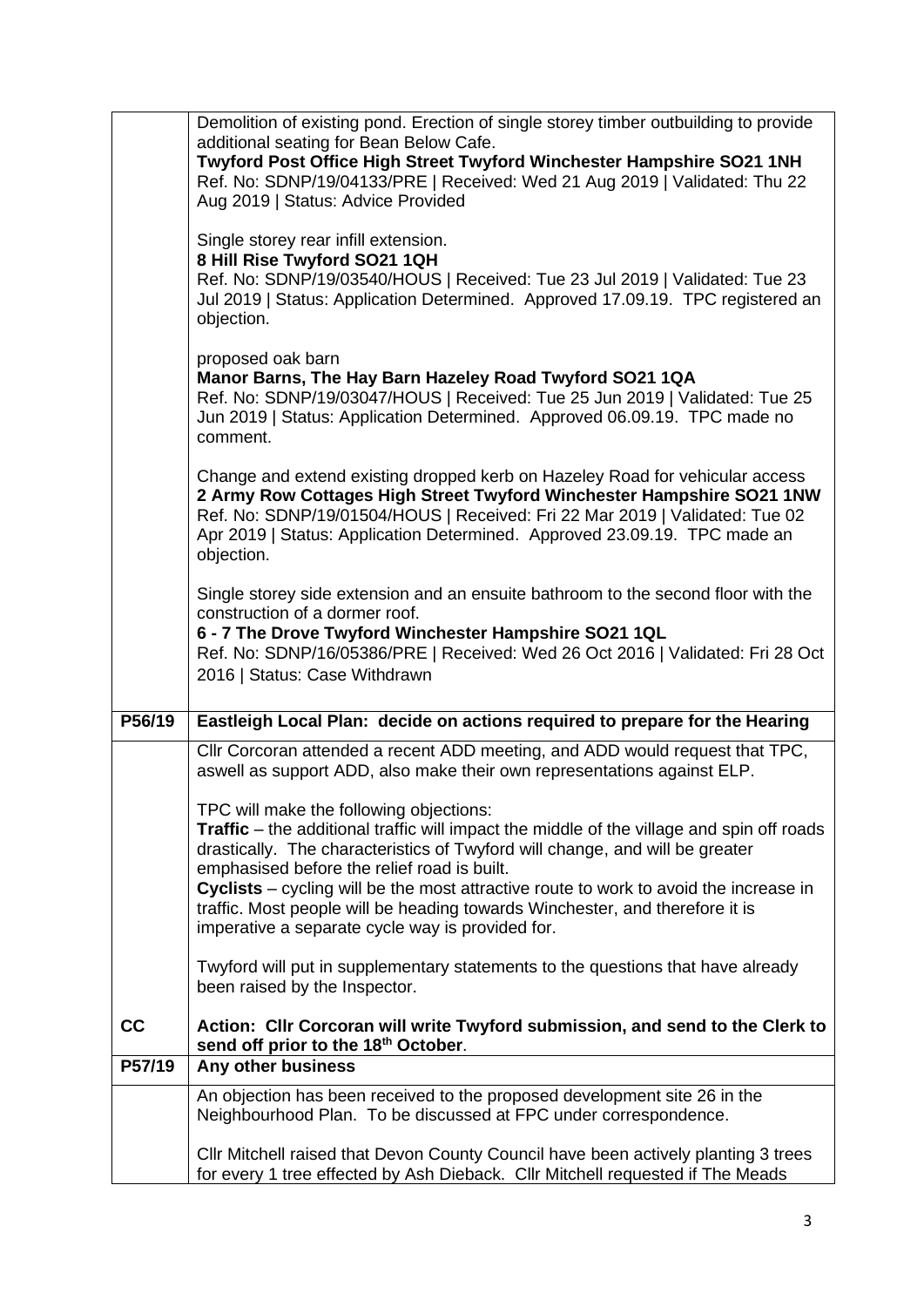|        | Demolition of existing pond. Erection of single storey timber outbuilding to provide<br>additional seating for Bean Below Cafe.<br>Twyford Post Office High Street Twyford Winchester Hampshire SO21 1NH<br>Ref. No: SDNP/19/04133/PRE   Received: Wed 21 Aug 2019   Validated: Thu 22<br>Aug 2019   Status: Advice Provided    |
|--------|---------------------------------------------------------------------------------------------------------------------------------------------------------------------------------------------------------------------------------------------------------------------------------------------------------------------------------|
|        | Single storey rear infill extension.<br>8 Hill Rise Twyford SO21 1QH<br>Ref. No: SDNP/19/03540/HOUS   Received: Tue 23 Jul 2019   Validated: Tue 23<br>Jul 2019   Status: Application Determined. Approved 17.09.19. TPC registered an<br>objection.                                                                            |
|        | proposed oak barn<br>Manor Barns, The Hay Barn Hazeley Road Twyford SO21 1QA<br>Ref. No: SDNP/19/03047/HOUS   Received: Tue 25 Jun 2019   Validated: Tue 25<br>Jun 2019   Status: Application Determined. Approved 06.09.19. TPC made no<br>comment.                                                                            |
|        | Change and extend existing dropped kerb on Hazeley Road for vehicular access<br>2 Army Row Cottages High Street Twyford Winchester Hampshire SO21 1NW<br>Ref. No: SDNP/19/01504/HOUS   Received: Fri 22 Mar 2019   Validated: Tue 02<br>Apr 2019   Status: Application Determined. Approved 23.09.19. TPC made an<br>objection. |
|        | Single storey side extension and an ensuite bathroom to the second floor with the<br>construction of a dormer roof.<br>6 - 7 The Drove Twyford Winchester Hampshire SO21 1QL<br>Ref. No: SDNP/16/05386/PRE   Received: Wed 26 Oct 2016   Validated: Fri 28 Oct<br>2016   Status: Case Withdrawn                                 |
| P56/19 | Eastleigh Local Plan: decide on actions required to prepare for the Hearing                                                                                                                                                                                                                                                     |
|        | Cllr Corcoran attended a recent ADD meeting, and ADD would request that TPC,<br>aswell as support ADD, also make their own representations against ELP.                                                                                                                                                                         |
|        | TPC will make the following objections:<br>Traffic – the additional traffic will impact the middle of the village and spin off roads<br>drastically. The characteristics of Twyford will change, and will be greater<br>emphasised before the relief road is built.                                                             |
|        | Cyclists – cycling will be the most attractive route to work to avoid the increase in<br>traffic. Most people will be heading towards Winchester, and therefore it is<br>imperative a separate cycle way is provided for.                                                                                                       |
|        | Twyford will put in supplementary statements to the questions that have already<br>been raised by the Inspector.                                                                                                                                                                                                                |
| cc     | Action: Cllr Corcoran will write Twyford submission, and send to the Clerk to<br>send off prior to the 18th October.                                                                                                                                                                                                            |
| P57/19 | Any other business                                                                                                                                                                                                                                                                                                              |
|        | An objection has been received to the proposed development site 26 in the<br>Neighbourhood Plan. To be discussed at FPC under correspondence.                                                                                                                                                                                   |
|        | Cllr Mitchell raised that Devon County Council have been actively planting 3 trees<br>for every 1 tree effected by Ash Dieback. Cllr Mitchell requested if The Meads                                                                                                                                                            |